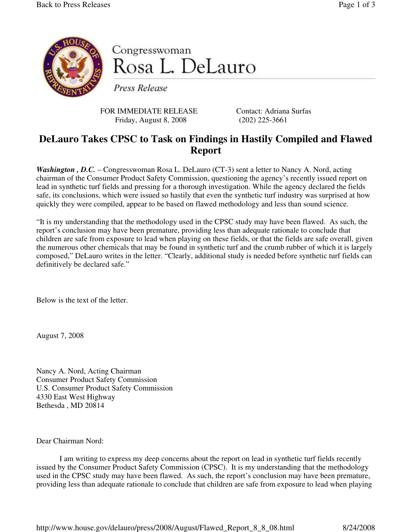

Congresswoman Rosa L. DeLauro

Press Release

FOR IMMEDIATE RELEASE Contact: Adriana Surfas Friday, August 8, 2008 (202) 225-3661

## **DeLauro Takes CPSC to Task on Findings in Hastily Compiled and Flawed Report**

*Washington*, *D.C.* – Congresswoman Rosa L. DeLauro (CT-3) sent a letter to Nancy A. Nord, acting chairman of the Consumer Product Safety Commission, questioning the agency's recently issued report on lead in synthetic turf fields and pressing for a thorough investigation. While the agency declared the fields safe, its conclusions, which were issued so hastily that even the synthetic turf industry was surprised at how quickly they were compiled, appear to be based on flawed methodology and less than sound science.

"It is my understanding that the methodology used in the CPSC study may have been flawed. As such, the report's conclusion may have been premature, providing less than adequate rationale to conclude that children are safe from exposure to lead when playing on these fields, or that the fields are safe overall, given the numerous other chemicals that may be found in synthetic turf and the crumb rubber of which it is largely composed," DeLauro writes in the letter. "Clearly, additional study is needed before synthetic turf fields can definitively be declared safe."

Below is the text of the letter.

August 7, 2008

Nancy A. Nord, Acting Chairman Consumer Product Safety Commission U.S. Consumer Product Safety Commission 4330 East West Highway Bethesda , MD 20814

Dear Chairman Nord:

 I am writing to express my deep concerns about the report on lead in synthetic turf fields recently issued by the Consumer Product Safety Commission (CPSC). It is my understanding that the methodology used in the CPSC study may have been flawed. As such, the report's conclusion may have been premature, providing less than adequate rationale to conclude that children are safe from exposure to lead when playing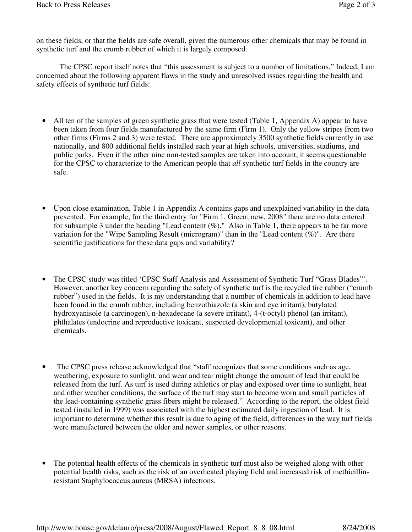on these fields, or that the fields are safe overall, given the numerous other chemicals that may be found in synthetic turf and the crumb rubber of which it is largely composed.

The CPSC report itself notes that "this assessment is subject to a number of limitations." Indeed, I am concerned about the following apparent flaws in the study and unresolved issues regarding the health and safety effects of synthetic turf fields:

- All ten of the samples of green synthetic grass that were tested (Table 1, Appendix A) appear to have been taken from four fields manufactured by the same firm (Firm 1). Only the yellow stripes from two other firms (Firms 2 and 3) were tested. There are approximately 3500 synthetic fields currently in use nationally, and 800 additional fields installed each year at high schools, universities, stadiums, and public parks. Even if the other nine non-tested samples are taken into account, it seems questionable for the CPSC to characterize to the American people that *all* synthetic turf fields in the country are safe.
- Upon close examination, Table 1 in Appendix A contains gaps and unexplained variability in the data presented. For example, for the third entry for "Firm 1, Green; new, 2008" there are no data entered for subsample 3 under the heading "Lead content  $(\%)$ ." Also in Table 1, there appears to be far more variation for the "Wipe Sampling Result (microgram)" than in the "Lead content  $(\%)$ ". Are there scientific justifications for these data gaps and variability?
- The CPSC study was titled 'CPSC Staff Analysis and Assessment of Synthetic Turf "Grass Blades"'. However, another key concern regarding the safety of synthetic turf is the recycled tire rubber ("crumb rubber") used in the fields. It is my understanding that a number of chemicals in addition to lead have been found in the crumb rubber, including benzothiazole (a skin and eye irritant), butylated hydroxyanisole (a carcinogen), n-hexadecane (a severe irritant), 4-(t-octyl) phenol (an irritant), phthalates (endocrine and reproductive toxicant, suspected developmental toxicant), and other chemicals.
- The CPSC press release acknowledged that "staff recognizes that some conditions such as age, weathering, exposure to sunlight, and wear and tear might change the amount of lead that could be released from the turf. As turf is used during athletics or play and exposed over time to sunlight, heat and other weather conditions, the surface of the turf may start to become worn and small particles of the lead-containing synthetic grass fibers might be released." According to the report, the oldest field tested (installed in 1999) was associated with the highest estimated daily ingestion of lead. It is important to determine whether this result is due to aging of the field, differences in the way turf fields were manufactured between the older and newer samples, or other reasons.
- The potential health effects of the chemicals in synthetic turf must also be weighed along with other potential health risks, such as the risk of an overheated playing field and increased risk of methicillinresistant Staphylococcus aureus (MRSA) infections.